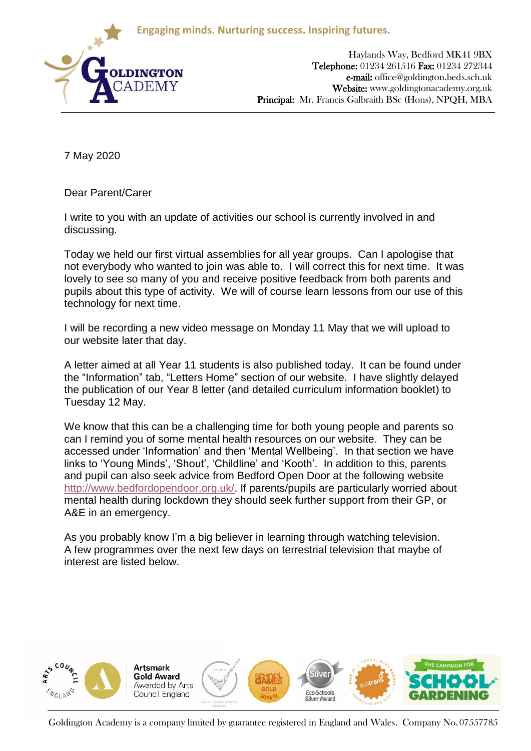**Engaging minds. Nurturing success. Inspiring futures.**



Haylands Way, Bedford MK41 9BX Telephone: 01234 261516 Fax: 01234 272344 e-mail: office@goldington.beds.sch.uk Website: www.goldingtonacademy.org.uk Principal: Mr. Francis Galbraith BSc (Hons), NPQH, MBA

7 May 2020

Dear Parent/Carer

I write to you with an update of activities our school is currently involved in and discussing.

Today we held our first virtual assemblies for all year groups. Can I apologise that not everybody who wanted to join was able to. I will correct this for next time. It was lovely to see so many of you and receive positive feedback from both parents and pupils about this type of activity. We will of course learn lessons from our use of this technology for next time.

I will be recording a new video message on Monday 11 May that we will upload to our website later that day.

A letter aimed at all Year 11 students is also published today. It can be found under the "Information" tab, "Letters Home" section of our website. I have slightly delayed the publication of our Year 8 letter (and detailed curriculum information booklet) to Tuesday 12 May.

We know that this can be a challenging time for both young people and parents so can I remind you of some mental health resources on our website. They can be accessed under 'Information' and then 'Mental Wellbeing'. In that section we have links to 'Young Minds', 'Shout', 'Childline' and 'Kooth'. In addition to this, parents and pupil can also seek advice from Bedford Open Door at the following website [http://www.bedfordopendoor.org.uk/.](http://www.bedfordopendoor.org.uk/) If parents/pupils are particularly worried about mental health during lockdown they should seek further support from their GP, or A&E in an emergency.

As you probably know I'm a big believer in learning through watching television. A few programmes over the next few days on terrestrial television that maybe of interest are listed below.



Goldington Academy is a company limited by guarantee registered in England and Wales. Company No. 07557785